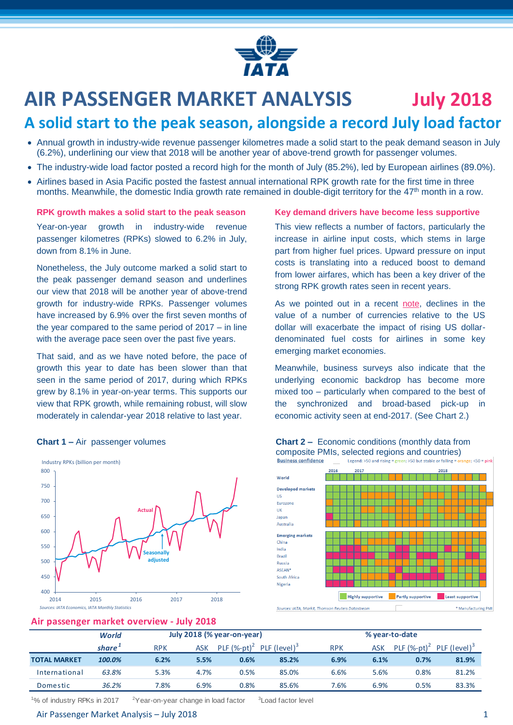

# **AIR PASSENGER MARKET ANALYSIS July 2018**

## **A solid start to the peak season, alongside a record July load factor**

- Annual growth in industry-wide revenue passenger kilometres made a solid start to the peak demand season in July (6.2%), underlining our view that 2018 will be another year of above-trend growth for passenger volumes.
- The industry-wide load factor posted a record high for the month of July (85.2%), led by European airlines (89.0%).
- Airlines based in Asia Pacific posted the fastest annual international RPK growth rate for the first time in three months. Meanwhile, the domestic India growth rate remained in double-digit territory for the 47<sup>th</sup> month in a row.

#### **RPK growth makes a solid start to the peak season**

Year-on-year growth in industry-wide revenue passenger kilometres (RPKs) slowed to 6.2% in July, down from 8.1% in June.

Nonetheless, the July outcome marked a solid start to the peak passenger demand season and underlines our view that 2018 will be another year of above-trend growth for industry-wide RPKs. Passenger volumes have increased by 6.9% over the first seven months of the year compared to the same period of 2017 – in line with the average pace seen over the past five years.

That said, and as we have noted before, the pace of growth this year to date has been slower than that seen in the same period of 2017, during which RPKs grew by 8.1% in year-on-year terms. This supports our view that RPK growth, while remaining robust, will slow moderately in calendar-year 2018 relative to last year.





#### **Key demand drivers have become less supportive**

This view reflects a number of factors, particularly the increase in airline input costs, which stems in large part from higher fuel prices. Upward pressure on input costs is translating into a reduced boost to demand from lower airfares, which has been a key driver of the strong RPK growth rates seen in recent years.

As we pointed out in a recent [note,](https://www.iata.org/publications/economics/Reports/chart-of-the-week/chart-of-the-week-17-aug-2018.pdf) declines in the value of a number of currencies relative to the US dollar will exacerbate the impact of rising US dollardenominated fuel costs for airlines in some key emerging market economies.

Meanwhile, business surveys also indicate that the underlying economic backdrop has become more mixed too – particularly when compared to the best of the synchronized and broad-based pick-up in economic activity seen at end-2017. (See Chart 2.)



#### **Chart 1** – Air passenger volumes **Chart 2** – Economic conditions (monthly data from composite PMIs, selected regions and countries)

#### **Air passenger market overview - July 2018**

| -                   |              |                            |      |                |                          |                |      |                |                          |
|---------------------|--------------|----------------------------|------|----------------|--------------------------|----------------|------|----------------|--------------------------|
|                     | <b>World</b> | July 2018 (% year-on-year) |      |                |                          | % year-to-date |      |                |                          |
|                     | share*       | <b>RPK</b>                 | ASK  | PLF $(%-pt)^2$ | PLF (level) <sup>3</sup> | <b>RPK</b>     | ASK  | PLF $(%-pt)^2$ | PLF (level) <sup>3</sup> |
| <b>TOTAL MARKET</b> | 100.0%       | 6.2%                       | 5.5% | 0.6%           | 85.2%                    | 6.9%           | 6.1% | 0.7%           | 81.9%                    |
| International       | 63.8%        | 5.3%                       | 4.7% | 0.5%           | 85.0%                    | 6.6%           | 5.6% | 0.8%           | 81.2%                    |
| Domestic            | 36.2%        | 7.8%                       | 6.9% | 0.8%           | 85.6%                    | 7.6%           | 6.9% | 0.5%           | 83.3%                    |

<sup>1</sup>% of industry RPKs in 2017  $2Year-on-year change in load factor$ <sup>3</sup> Load factor level

#### Air Passenger Market Analysis – July 2018 1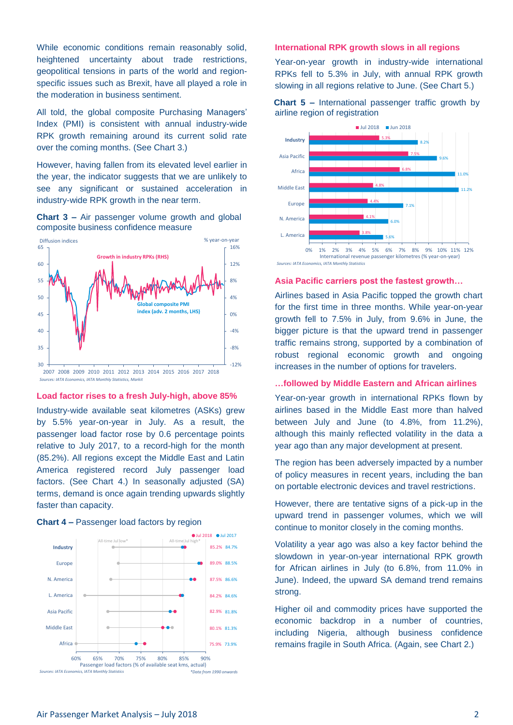While economic conditions remain reasonably solid, heightened uncertainty about trade restrictions, geopolitical tensions in parts of the world and regionspecific issues such as Brexit, have all played a role in the moderation in business sentiment.

All told, the global composite Purchasing Managers' Index (PMI) is consistent with annual industry-wide RPK growth remaining around its current solid rate over the coming months. (See Chart 3.)

However, having fallen from its elevated level earlier in the year, the indicator suggests that we are unlikely to see any significant or sustained acceleration in industry-wide RPK growth in the near term.





Sources: IATA Economics, IATA Monthly Statistics, Markit

#### **Load factor rises to a fresh July-high, above 85%**

Industry-wide available seat kilometres (ASKs) grew by 5.5% year-on-year in July. As a result, the passenger load factor rose by 0.6 percentage points relative to July 2017, to a record-high for the month (85.2%). All regions except the Middle East and Latin America registered record July passenger load factors. (See Chart 4.) In seasonally adjusted (SA) terms, demand is once again trending upwards slightly faster than capacity.



#### **Chart 4 –** Passenger load factors by region

#### **International RPK growth slows in all regions**

Year-on-year growth in industry-wide international RPKs fell to 5.3% in July, with annual RPK growth slowing in all regions relative to June. (See Chart 5.)





**Sources: IATA Economics, IATA Monthly Statistic** 

#### **Asia Pacific carriers post the fastest growth…**

Airlines based in Asia Pacific topped the growth chart for the first time in three months. While year-on-year growth fell to 7.5% in July, from 9.6% in June, the bigger picture is that the upward trend in passenger traffic remains strong, supported by a combination of robust regional economic growth and ongoing increases in the number of options for travelers.

#### **…followed by Middle Eastern and African airlines**

Year-on-year growth in international RPKs flown by airlines based in the Middle East more than halved between July and June (to 4.8%, from 11.2%), although this mainly reflected volatility in the data a year ago than any major development at present.

The region has been adversely impacted by a number of policy measures in recent years, including the ban on portable electronic devices and travel restrictions.

However, there are tentative signs of a pick-up in the upward trend in passenger volumes, which we will continue to monitor closely in the coming months.

Volatility a year ago was also a key factor behind the slowdown in year-on-year international RPK growth for African airlines in July (to 6.8%, from 11.0% in June). Indeed, the upward SA demand trend remains strong.

Higher oil and commodity prices have supported the economic backdrop in a number of countries, including Nigeria, although business confidence remains fragile in South Africa. (Again, see Chart 2.)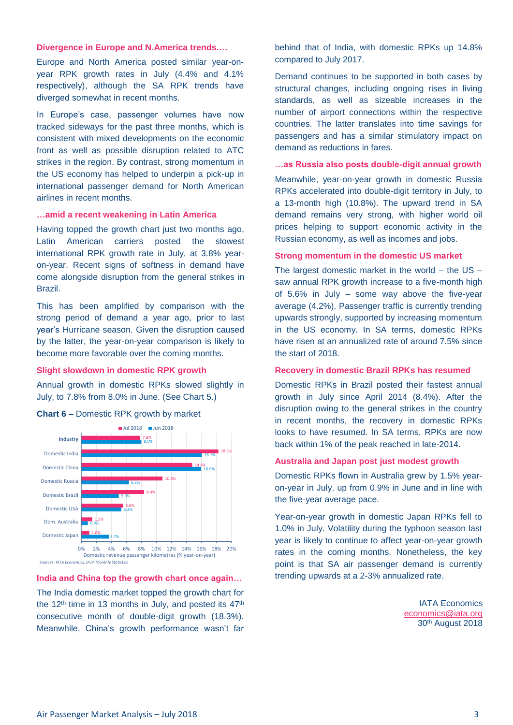#### **Divergence in Europe and N.America trends.…**

Europe and North America posted similar year-onyear RPK growth rates in July (4.4% and 4.1% respectively), although the SA RPK trends have diverged somewhat in recent months.

In Europe's case, passenger volumes have now tracked sideways for the past three months, which is consistent with mixed developments on the economic front as well as possible disruption related to ATC strikes in the region. By contrast, strong momentum in the US economy has helped to underpin a pick-up in international passenger demand for North American airlines in recent months.

#### **…amid a recent weakening in Latin America**

Having topped the growth chart just two months ago, Latin American carriers posted the slowest international RPK growth rate in July, at 3.8% yearon-year. Recent signs of softness in demand have come alongside disruption from the general strikes in Brazil.

This has been amplified by comparison with the strong period of demand a year ago, prior to last year's Hurricane season. Given the disruption caused by the latter, the year-on-year comparison is likely to become more favorable over the coming months.

#### **Slight slowdown in domestic RPK growth**

Annual growth in domestic RPKs slowed slightly in July, to 7.8% from 8.0% in June. (See Chart 5.)





#### **India and China top the growth chart once again…**

The India domestic market topped the growth chart for the 12<sup>th</sup> time in 13 months in July, and posted its  $47<sup>th</sup>$ consecutive month of double-digit growth (18.3%). Meanwhile, China's growth performance wasn't far behind that of India, with domestic RPKs up 14.8% compared to July 2017.

Demand continues to be supported in both cases by structural changes, including ongoing rises in living standards, as well as sizeable increases in the number of airport connections within the respective countries. The latter translates into time savings for passengers and has a similar stimulatory impact on demand as reductions in fares.

#### **…as Russia also posts double-digit annual growth**

Meanwhile, year-on-year growth in domestic Russia RPKs accelerated into double-digit territory in July, to a 13-month high (10.8%). The upward trend in SA demand remains very strong, with higher world oil prices helping to support economic activity in the Russian economy, as well as incomes and jobs.

#### **Strong momentum in the domestic US market**

The largest domestic market in the world – the US – saw annual RPK growth increase to a five-month high of 5.6% in July – some way above the five-year average (4.2%). Passenger traffic is currently trending upwards strongly, supported by increasing momentum in the US economy. In SA terms, domestic RPKs have risen at an annualized rate of around 7.5% since the start of 2018.

#### **Recovery in domestic Brazil RPKs has resumed**

Domestic RPKs in Brazil posted their fastest annual growth in July since April 2014 (8.4%). After the disruption owing to the general strikes in the country in recent months, the recovery in domestic RPKs looks to have resumed. In SA terms, RPKs are now back within 1% of the peak reached in late-2014.

#### **Australia and Japan post just modest growth**

Domestic RPKs flown in Australia grew by 1.5% yearon-year in July, up from 0.9% in June and in line with the five-year average pace.

Year-on-year growth in domestic Japan RPKs fell to 1.0% in July. Volatility during the typhoon season last year is likely to continue to affect year-on-year growth rates in the coming months. Nonetheless, the key point is that SA air passenger demand is currently trending upwards at a 2-3% annualized rate.

> IATA Economics [economics@iata.org](mailto:economics@iata.org) 30th August 2018